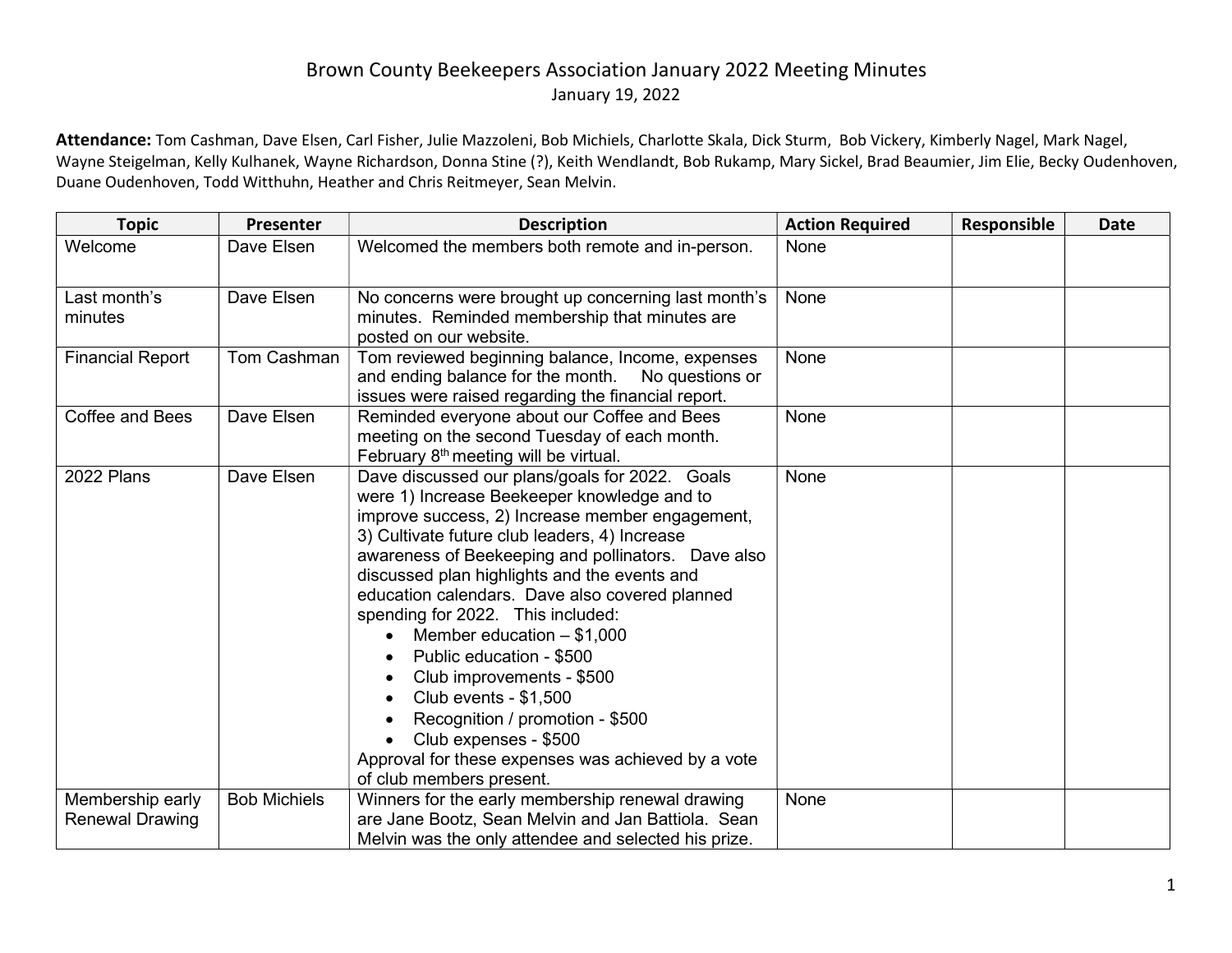## Brown County Beekeepers Association January 2022 Meeting Minutes January 19, 2022

Attendance: Tom Cashman, Dave Elsen, Carl Fisher, Julie Mazzoleni, Bob Michiels, Charlotte Skala, Dick Sturm, Bob Vickery, Kimberly Nagel, Mark Nagel, Wayne Steigelman, Kelly Kulhanek, Wayne Richardson, Donna Stine (?), Keith Wendlandt, Bob Rukamp, Mary Sickel, Brad Beaumier, Jim Elie, Becky Oudenhoven, Duane Oudenhoven, Todd Witthuhn, Heather and Chris Reitmeyer, Sean Melvin.

| <b>Topic</b>                               | Presenter           | <b>Description</b>                                                                                                                                                                                                                                                                                                                                                                                                                                                                                                                                                                                                                                                         | <b>Action Required</b> | Responsible | <b>Date</b> |
|--------------------------------------------|---------------------|----------------------------------------------------------------------------------------------------------------------------------------------------------------------------------------------------------------------------------------------------------------------------------------------------------------------------------------------------------------------------------------------------------------------------------------------------------------------------------------------------------------------------------------------------------------------------------------------------------------------------------------------------------------------------|------------------------|-------------|-------------|
| Welcome                                    | Dave Elsen          | Welcomed the members both remote and in-person.                                                                                                                                                                                                                                                                                                                                                                                                                                                                                                                                                                                                                            | None                   |             |             |
| Last month's<br>minutes                    | Dave Elsen          | No concerns were brought up concerning last month's<br>minutes. Reminded membership that minutes are<br>posted on our website.                                                                                                                                                                                                                                                                                                                                                                                                                                                                                                                                             | None                   |             |             |
| <b>Financial Report</b>                    | Tom Cashman         | Tom reviewed beginning balance, Income, expenses<br>and ending balance for the month.<br>No questions or<br>issues were raised regarding the financial report.                                                                                                                                                                                                                                                                                                                                                                                                                                                                                                             | None                   |             |             |
| <b>Coffee and Bees</b>                     | Dave Elsen          | Reminded everyone about our Coffee and Bees<br>meeting on the second Tuesday of each month.<br>February 8 <sup>th</sup> meeting will be virtual.                                                                                                                                                                                                                                                                                                                                                                                                                                                                                                                           | None                   |             |             |
| 2022 Plans                                 | Dave Elsen          | Dave discussed our plans/goals for 2022. Goals<br>were 1) Increase Beekeeper knowledge and to<br>improve success, 2) Increase member engagement,<br>3) Cultivate future club leaders, 4) Increase<br>awareness of Beekeeping and pollinators. Dave also<br>discussed plan highlights and the events and<br>education calendars. Dave also covered planned<br>spending for 2022. This included:<br>Member education $- $1,000$<br>$\bullet$<br>Public education - \$500<br>Club improvements - \$500<br>Club events - \$1,500<br>Recognition / promotion - \$500<br>Club expenses - \$500<br>Approval for these expenses was achieved by a vote<br>of club members present. | None                   |             |             |
| Membership early<br><b>Renewal Drawing</b> | <b>Bob Michiels</b> | Winners for the early membership renewal drawing<br>are Jane Bootz, Sean Melvin and Jan Battiola. Sean<br>Melvin was the only attendee and selected his prize.                                                                                                                                                                                                                                                                                                                                                                                                                                                                                                             | None                   |             |             |